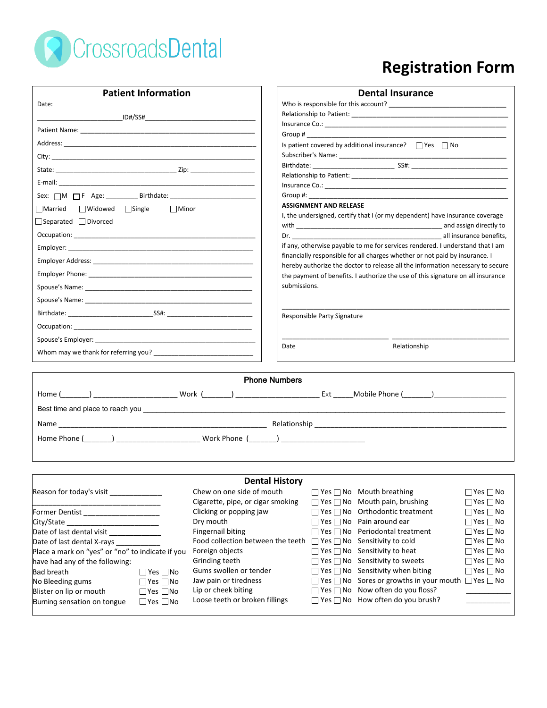

# **Registration Form**

| <b>Patient Information</b>                                            |                                   | <b>Dental Insurance</b>                                                                                                                                                                                                        |  |  |  |
|-----------------------------------------------------------------------|-----------------------------------|--------------------------------------------------------------------------------------------------------------------------------------------------------------------------------------------------------------------------------|--|--|--|
| Date:                                                                 |                                   |                                                                                                                                                                                                                                |  |  |  |
|                                                                       |                                   |                                                                                                                                                                                                                                |  |  |  |
|                                                                       |                                   |                                                                                                                                                                                                                                |  |  |  |
|                                                                       |                                   | Group # 2008 and 2008 and 2008 and 2008 and 2008 and 2008 and 2008 and 2008 and 2008 and 2008 and 2008 and 20                                                                                                                  |  |  |  |
|                                                                       |                                   | Is patient covered by additional insurance? $\Box$ Yes $\Box$ No                                                                                                                                                               |  |  |  |
|                                                                       |                                   |                                                                                                                                                                                                                                |  |  |  |
|                                                                       |                                   |                                                                                                                                                                                                                                |  |  |  |
|                                                                       |                                   |                                                                                                                                                                                                                                |  |  |  |
|                                                                       |                                   | Group #: the contract of the contract of the contract of the contract of the contract of the contract of the contract of the contract of the contract of the contract of the contract of the contract of the contract of the c |  |  |  |
| Married Widowed Single<br>$\Box$ Minor                                |                                   | <b>ASSIGNMENT AND RELEASE</b>                                                                                                                                                                                                  |  |  |  |
| $\Box$ Separated $\Box$ Divorced                                      |                                   | I, the undersigned, certify that I (or my dependent) have insurance coverage                                                                                                                                                   |  |  |  |
|                                                                       |                                   |                                                                                                                                                                                                                                |  |  |  |
|                                                                       |                                   |                                                                                                                                                                                                                                |  |  |  |
|                                                                       |                                   | if any, otherwise payable to me for services rendered. I understand that I am                                                                                                                                                  |  |  |  |
|                                                                       |                                   | financially responsible for all charges whether or not paid by insurance. I<br>hereby authorize the doctor to release all the information necessary to secure                                                                  |  |  |  |
|                                                                       |                                   | the payment of benefits. I authorize the use of this signature on all insurance                                                                                                                                                |  |  |  |
|                                                                       |                                   | submissions.                                                                                                                                                                                                                   |  |  |  |
|                                                                       |                                   |                                                                                                                                                                                                                                |  |  |  |
|                                                                       |                                   | Responsible Party Signature                                                                                                                                                                                                    |  |  |  |
|                                                                       |                                   |                                                                                                                                                                                                                                |  |  |  |
|                                                                       |                                   |                                                                                                                                                                                                                                |  |  |  |
|                                                                       |                                   | Date<br>Relationship                                                                                                                                                                                                           |  |  |  |
|                                                                       |                                   |                                                                                                                                                                                                                                |  |  |  |
|                                                                       | <b>Phone Numbers</b>              |                                                                                                                                                                                                                                |  |  |  |
|                                                                       |                                   |                                                                                                                                                                                                                                |  |  |  |
|                                                                       |                                   |                                                                                                                                                                                                                                |  |  |  |
|                                                                       |                                   |                                                                                                                                                                                                                                |  |  |  |
|                                                                       |                                   |                                                                                                                                                                                                                                |  |  |  |
|                                                                       |                                   |                                                                                                                                                                                                                                |  |  |  |
|                                                                       |                                   |                                                                                                                                                                                                                                |  |  |  |
|                                                                       |                                   |                                                                                                                                                                                                                                |  |  |  |
|                                                                       | <b>Dental History</b>             |                                                                                                                                                                                                                                |  |  |  |
| Reason for today's visit                                              | Chew on one side of mouth         | $\Box$ Yes $\Box$ No Mouth breathing<br>$\Box$ Yes $\Box$ No                                                                                                                                                                   |  |  |  |
|                                                                       | Cigarette, pipe, or cigar smoking | $\Box$ Yes $\Box$ No Mouth pain, brushing<br>$\Box$ Yes $\Box$ No                                                                                                                                                              |  |  |  |
| Former Dentist _______________________                                | Clicking or popping jaw           | $\Box$ Yes $\Box$ No Orthodontic treatment<br>$\Box$ Yes $\Box$ No                                                                                                                                                             |  |  |  |
| City/State _                                                          | Dry mouth                         | $\Box$ Yes $\Box$ No Pain around ear<br>$\Box$ Yes $\Box$ No                                                                                                                                                                   |  |  |  |
| Date of last dental visit _______________<br><b>Fingernail biting</b> |                                   | $\Box$ Yes $\Box$ No Periodontal treatment<br>$\Box$ Yes $\Box$ No<br>Food collection between the teeth $\Box$ Yes $\Box$ No Sensitivity to cold                                                                               |  |  |  |
| Date of last dental X-rays                                            |                                   | $\Box$ Yes $\Box$ No                                                                                                                                                                                                           |  |  |  |
| Place a mark on "yes" or "no" to indicate if you<br>Foreign objects   |                                   | $\Box$ Yes $\Box$ No Sensitivity to heat<br>$\Box$ Yes $\Box$ No                                                                                                                                                               |  |  |  |
| have had any of the following:                                        | Grinding teeth                    | $\Box$ Yes $\Box$ No Sensitivity to sweets<br>$\Box$ Yes $\Box$ No                                                                                                                                                             |  |  |  |
| <b>Bad breath</b><br>$\Box$ Yes $\Box$ No                             | Gums swollen or tender            | $\Box$ Yes $\Box$ No Sensitivity when biting<br>$\Box$ Yes $\Box$ No                                                                                                                                                           |  |  |  |
| No Bleeding gums<br>$\Box$ Yes $\Box$ No                              | Jaw pain or tiredness             | $\Box$ Yes $\Box$ No Sores or growths in your mouth $\Box$ Yes $\Box$ No<br>$\Box$ Yes $\Box$ No Now often do you floss?                                                                                                       |  |  |  |
| Blister on lip or mouth<br>$\Box$ Yes $\Box$ No                       | Lip or cheek biting               | $\Box$ Yes $\Box$ No How often do you brush?                                                                                                                                                                                   |  |  |  |
| $\Box$ Yes $\Box$ No<br>Burning sensation on tongue                   | Loose teeth or broken fillings    |                                                                                                                                                                                                                                |  |  |  |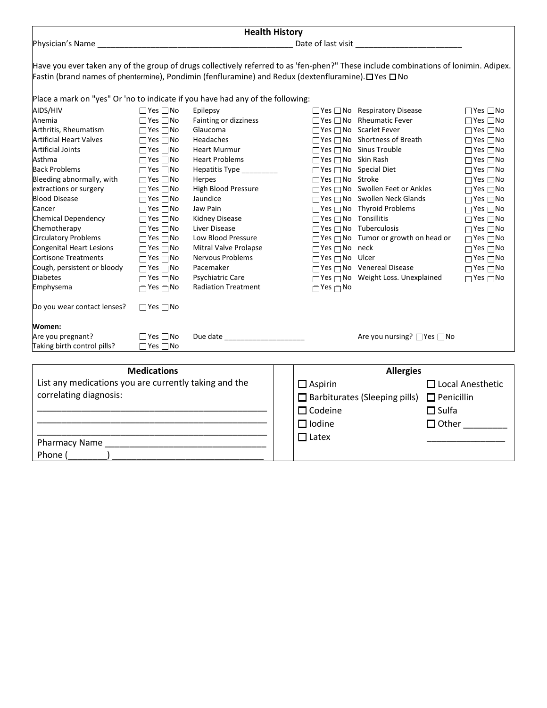| <b>Health History</b>                                                                                                                |                      |                            |                                  |                                                        |                      |  |  |
|--------------------------------------------------------------------------------------------------------------------------------------|----------------------|----------------------------|----------------------------------|--------------------------------------------------------|----------------------|--|--|
|                                                                                                                                      |                      |                            |                                  |                                                        |                      |  |  |
|                                                                                                                                      |                      |                            |                                  |                                                        |                      |  |  |
| Have you ever taken any of the group of drugs collectively referred to as 'fen-phen?" These include combinations of lonimin. Adipex. |                      |                            |                                  |                                                        |                      |  |  |
| Fastin (brand names of phentermine), Pondimin (fenfluramine) and Redux (dextenfluramine). □ Yes □ No                                 |                      |                            |                                  |                                                        |                      |  |  |
|                                                                                                                                      |                      |                            |                                  |                                                        |                      |  |  |
| Place a mark on "yes" Or 'no to indicate if you have had any of the following:                                                       |                      |                            |                                  |                                                        |                      |  |  |
| AIDS/HIV                                                                                                                             | $\Box$ Yes $\Box$ No | Epilepsy                   |                                  | $\Box$ Yes $\Box$ No Respiratory Disease               | $\Box$ Yes $\Box$ No |  |  |
| Anemia                                                                                                                               | $\Box$ Yes $\Box$ No | Fainting or dizziness      |                                  | □ Yes □ No Rheumatic Fever                             | $\Box$ Yes $\Box$ No |  |  |
| Arthritis, Rheumatism                                                                                                                | $\Box$ Yes $\Box$ No | Glaucoma                   |                                  | □ Yes □ No Scarlet Fever                               | $\Box$ Yes $\Box$ No |  |  |
| <b>Artificial Heart Valves</b>                                                                                                       | $\Box$ Yes $\Box$ No | Headaches                  |                                  | □ Yes □ No Shortness of Breath                         | $\Box$ Yes $\Box$ No |  |  |
| <b>Artificial Joints</b>                                                                                                             | $\Box$ Yes $\Box$ No | <b>Heart Murmur</b>        |                                  | $\Box$ Yes $\Box$ No Sinus Trouble                     | $\Box$ Yes $\Box$ No |  |  |
| Asthma                                                                                                                               | $\Box$ Yes $\Box$ No | <b>Heart Problems</b>      | □ Yes □ No Skin Rash             |                                                        | $\Box$ Yes $\Box$ No |  |  |
| <b>Back Problems</b>                                                                                                                 | $\Box$ Yes $\Box$ No | Hepatitis Type _________   |                                  | $\Box$ Yes $\Box$ No Special Diet                      | $\Box$ Yes $\Box$ No |  |  |
| Bleeding abnormally, with                                                                                                            | $\Box$ Yes $\Box$ No | Herpes                     | □Yes □No Stroke                  |                                                        | $\Box$ Yes $\Box$ No |  |  |
| extractions or surgery                                                                                                               | $\Box$ Yes $\Box$ No | <b>High Blood Pressure</b> |                                  | $\Box$ Yes $\Box$ No Swollen Feet or Ankles            | $\Box$ Yes $\Box$ No |  |  |
| <b>Blood Disease</b>                                                                                                                 | $\Box$ Yes $\Box$ No | Jaundice                   |                                  | □ Yes □ No Swollen Neck Glands                         | $\Box$ Yes $\Box$ No |  |  |
| Cancer                                                                                                                               | $\Box$ Yes $\Box$ No | Jaw Pain                   |                                  | $\Box$ Yes $\Box$ No Thyroid Problems                  | $\Box$ Yes $\Box$ No |  |  |
| <b>Chemical Dependency</b>                                                                                                           | $\Box$ Yes $\Box$ No | Kidney Disease             | $\Box$ Yes $\Box$ No Tonsillitis |                                                        | $\Box$ Yes $\Box$ No |  |  |
| Chemotherapy                                                                                                                         | $\Box$ Yes $\Box$ No | Liver Disease              |                                  | $\Box$ Yes $\Box$ No Tuberculosis                      | $\Box$ Yes $\Box$ No |  |  |
| <b>Circulatory Problems</b>                                                                                                          | $\Box$ Yes $\Box$ No | Low Blood Pressure         |                                  | $\Box$ Yes $\Box$ No Tumor or growth on head or        | $\Box$ Yes $\Box$ No |  |  |
| Congenital Heart Lesions                                                                                                             | $\Box$ Yes $\Box$ No | Mitral Valve Prolapse      | $\Box$ Yes $\Box$ No neck        |                                                        | $\Box$ Yes $\Box$ No |  |  |
| <b>Cortisone Treatments</b>                                                                                                          | $\Box$ Yes $\Box$ No | <b>Nervous Problems</b>    | $\Box$ Yes $\Box$ No Ulcer       |                                                        | $\Box$ Yes $\Box$ No |  |  |
| Cough, persistent or bloody                                                                                                          | $\Box$ Yes $\Box$ No | Pacemaker                  |                                  | $\Box$ Yes $\Box$ No Venereal Disease                  | $\Box$ Yes $\Box$ No |  |  |
| <b>Diabetes</b>                                                                                                                      | $\Box$ Yes $\Box$ No | Psychiatric Care           |                                  | □ Yes □ No Weight Loss. Unexplained                    | $\Box$ Yes $\Box$ No |  |  |
| Emphysema                                                                                                                            | $\Box$ Yes $\Box$ No | <b>Radiation Treatment</b> | $\Box$ Yes $\Box$ No             |                                                        |                      |  |  |
| Do you wear contact lenses?                                                                                                          | $\Box$ Yes $\Box$ No |                            |                                  |                                                        |                      |  |  |
| Women:                                                                                                                               |                      |                            |                                  |                                                        |                      |  |  |
| Are you pregnant?                                                                                                                    | $\Box$ Yes $\Box$ No | Due date                   |                                  | Are you nursing? $\Box$ Yes $\Box$ No                  |                      |  |  |
| Taking birth control pills?                                                                                                          | $\Box$ Yes $\Box$ No |                            |                                  |                                                        |                      |  |  |
|                                                                                                                                      |                      |                            |                                  |                                                        |                      |  |  |
| <b>Medications</b>                                                                                                                   |                      | <b>Allergies</b>           |                                  |                                                        |                      |  |  |
| List any medications you are currently taking and the                                                                                |                      |                            | $\Box$ Aspirin                   | $\Box$ Local Anesthetic                                |                      |  |  |
| correlating diagnosis:                                                                                                               |                      |                            |                                  | $\Box$ Barbiturates (Sleeping pills) $\Box$ Penicillin |                      |  |  |
|                                                                                                                                      |                      |                            |                                  |                                                        |                      |  |  |
|                                                                                                                                      |                      |                            |                                  | $\Box$ Codeine<br>$\Box$ Sulfa                         |                      |  |  |
|                                                                                                                                      |                      |                            | $\Box$ Iodine                    |                                                        |                      |  |  |
|                                                                                                                                      |                      |                            | $\Box$ Latex                     |                                                        |                      |  |  |
| <b>Pharmacy Name</b>                                                                                                                 |                      |                            |                                  |                                                        |                      |  |  |

Phone  $($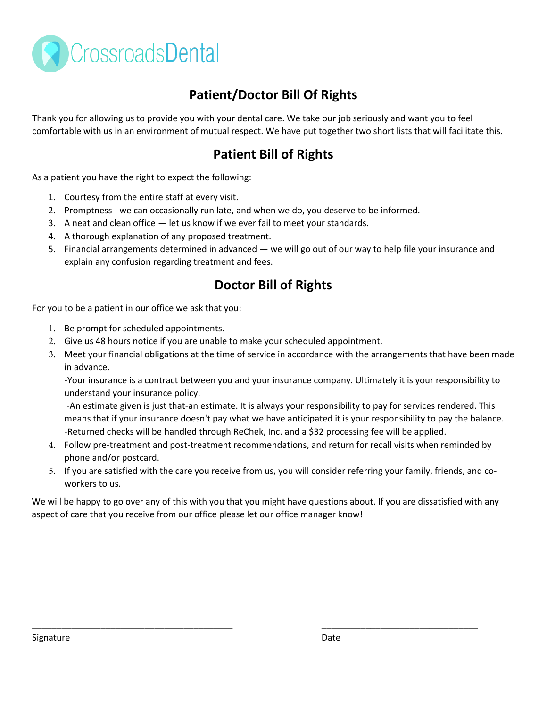

## **Patient/Doctor Bill Of Rights**

Thank you for allowing us to provide you with your dental care. We take our job seriously and want you to feel comfortable with us in an environment of mutual respect. We have put together two short lists that will facilitate this.

### **Patient Bill of Rights**

As a patient you have the right to expect the following:

- 1. Courtesy from the entire staff at every visit.
- 2. Promptness we can occasionally run late, and when we do, you deserve to be informed.
- 3. A neat and clean office let us know if we ever fail to meet your standards.
- 4. A thorough explanation of any proposed treatment.
- 5. Financial arrangements determined in advanced we will go out of our way to help file your insurance and explain any confusion regarding treatment and fees.

### **Doctor Bill of Rights**

For you to be a patient in our office we ask that you:

- 1. Be prompt for scheduled appointments.
- 2. Give us 48 hours notice if you are unable to make your scheduled appointment.
- 3. Meet your financial obligations at the time of service in accordance with the arrangements that have been made in advance.

-Your insurance is a contract between you and your insurance company. Ultimately it is your responsibility to understand your insurance policy.

-An estimate given is just that-an estimate. It is always your responsibility to pay for services rendered. This means that if your insurance doesn't pay what we have anticipated it is your responsibility to pay the balance. -Returned checks will be handled through ReChek, Inc. and a \$32 processing fee will be applied.

- 4. Follow pre-treatment and post-treatment recommendations, and return for recall visits when reminded by phone and/or postcard.
- 5. If you are satisfied with the care you receive from us, you will consider referring your family, friends, and coworkers to us.

We will be happy to go over any of this with you that you might have questions about. If you are dissatisfied with any aspect of care that you receive from our office please let our office manager know!

\_\_\_\_\_\_\_\_\_\_\_\_\_\_\_\_\_\_\_\_\_\_\_\_\_\_\_\_\_\_\_\_\_\_\_\_\_\_\_\_\_ \_\_\_\_\_\_\_\_\_\_\_\_\_\_\_\_\_\_\_\_\_\_\_\_\_\_\_\_\_\_\_\_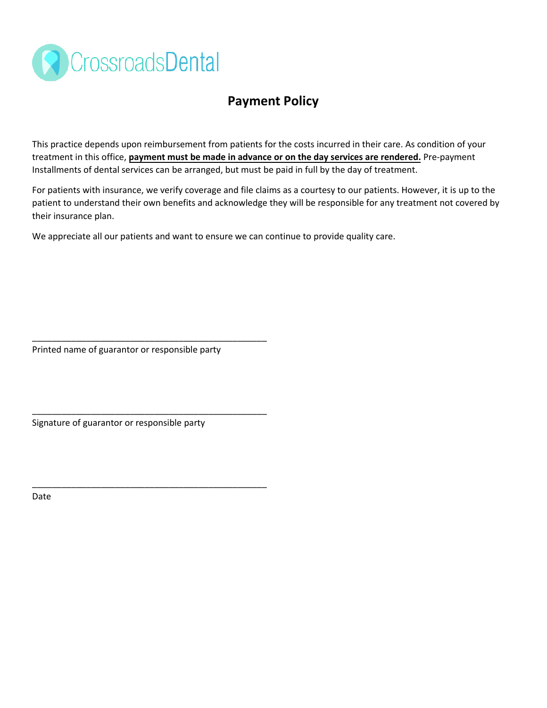

### **Payment Policy**

This practice depends upon reimbursement from patients for the costs incurred in their care. As condition of your treatment in this office, **payment must be made in advance or on the day services are rendered.** Pre-payment Installments of dental services can be arranged, but must be paid in full by the day of treatment.

For patients with insurance, we verify coverage and file claims as a courtesy to our patients. However, it is up to the patient to understand their own benefits and acknowledge they will be responsible for any treatment not covered by their insurance plan.

We appreciate all our patients and want to ensure we can continue to provide quality care.

Printed name of guarantor or responsible party

\_\_\_\_\_\_\_\_\_\_\_\_\_\_\_\_\_\_\_\_\_\_\_\_\_\_\_\_\_\_\_\_\_\_\_\_\_\_\_\_\_\_\_\_\_\_\_\_

\_\_\_\_\_\_\_\_\_\_\_\_\_\_\_\_\_\_\_\_\_\_\_\_\_\_\_\_\_\_\_\_\_\_\_\_\_\_\_\_\_\_\_\_\_\_\_\_

\_\_\_\_\_\_\_\_\_\_\_\_\_\_\_\_\_\_\_\_\_\_\_\_\_\_\_\_\_\_\_\_\_\_\_\_\_\_\_\_\_\_\_\_\_\_\_\_

Signature of guarantor or responsible party

Date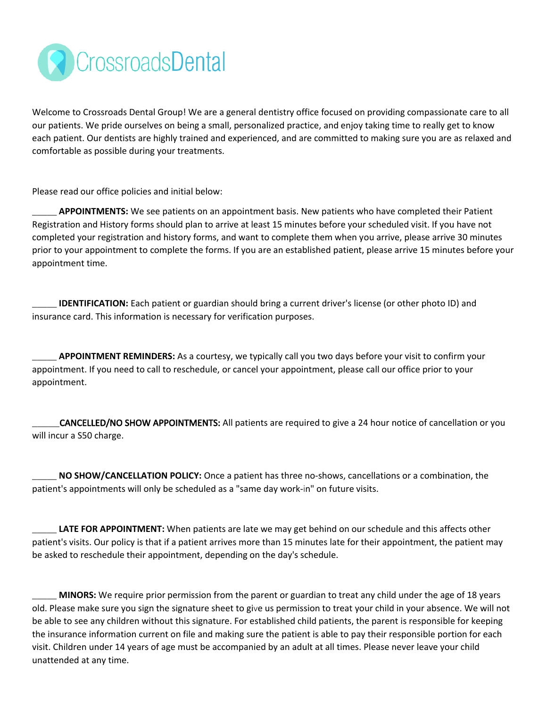

Welcome to Crossroads Dental Group! We are a general dentistry office focused on providing compassionate care to all our patients. We pride ourselves on being a small, personalized practice, and enjoy taking time to really get to know each patient. Our dentists are highly trained and experienced, and are committed to making sure you are as relaxed and comfortable as possible during your treatments.

Please read our office policies and initial below:

**\_\_\_\_\_ APPOINTMENTS:** We see patients on an appointment basis. New patients who have completed their Patient Registration and History forms should plan to arrive at least 15 minutes before your scheduled visit. If you have not completed your registration and history forms, and want to complete them when you arrive, please arrive 30 minutes prior to your appointment to complete the forms. If you are an established patient, please arrive 15 minutes before your appointment time.

**\_\_\_\_\_ IDENTIFICATION:** Each patient or guardian should bring a current driver's license (or other photo ID) and insurance card. This information is necessary for verification purposes.

**\_\_\_\_\_ APPOINTMENT REMINDERS:** As a courtesy, we typically call you two days before your visit to confirm your appointment. If you need to call to reschedule, or cancel your appointment, please call our office prior to your appointment.

\_\_\_\_\_CANCELLED/NO SHOW APPOINTMENTS: All patients are required to give a 24 hour notice of cancellation or you will incur a S50 charge.

**\_\_\_\_\_ NO SHOW/CANCELLATION POLICY:** Once a patient has three no-shows, cancellations or a combination, the patient's appointments will only be scheduled as a "same day work-in" on future visits.

**LATE FOR APPOINTMENT:** When patients are late we may get behind on our schedule and this affects other patient's visits. Our policy is that if a patient arrives more than 15 minutes late for their appointment, the patient may be asked to reschedule their appointment, depending on the day's schedule.

**\_\_\_\_\_ MINORS:** We require prior permission from the parent or guardian to treat any child under the age of 18 years old. Please make sure you sign the signature sheet to give us permission to treat your child in your absence. We will not be able to see any children without this signature. For established child patients, the parent is responsible for keeping the insurance information current on file and making sure the patient is able to pay their responsible portion for each visit. Children under 14 years of age must be accompanied by an adult at all times. Please never leave your child unattended at any time.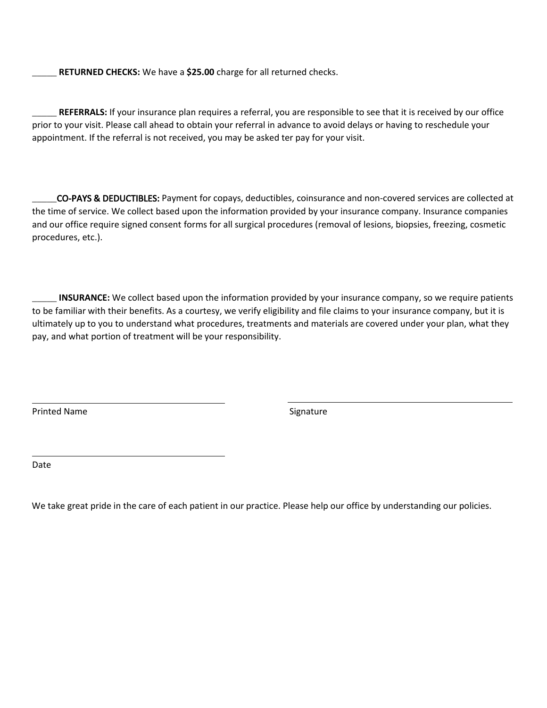**\_\_\_\_\_ RETURNED CHECKS:** We have a **\$25.00** charge for all returned checks.

**\_\_\_\_\_ REFERRALS:** If your insurance plan requires a referral, you are responsible to see that it is received by our office prior to your visit. Please call ahead to obtain your referral in advance to avoid delays or having to reschedule your appointment. If the referral is not received, you may be asked ter pay for your visit.

\_\_\_\_\_CO-PAYS & DEDUCTIBLES: Payment for copays, deductibles, coinsurance and non-covered services are collected at the time of service. We collect based upon the information provided by your insurance company. Insurance companies and our office require signed consent forms for all surgical procedures (removal of lesions, biopsies, freezing, cosmetic procedures, etc.).

**\_\_\_\_\_ INSURANCE:** We collect based upon the information provided by your insurance company, so we require patients to be familiar with their benefits. As a courtesy, we verify eligibility and file claims to your insurance company, but it is ultimately up to you to understand what procedures, treatments and materials are covered under your plan, what they pay, and what portion of treatment will be your responsibility.

Printed Name Signature

Date

We take great pride in the care of each patient in our practice. Please help our office by understanding our policies.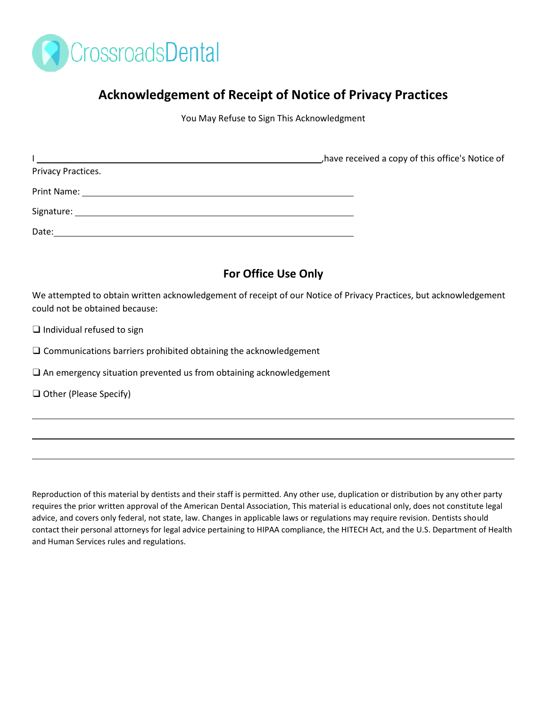

### **Acknowledgement of Receipt of Notice of Privacy Practices**

You May Refuse to Sign This Acknowledgment

|                    | have received a copy of this office's Notice of |
|--------------------|-------------------------------------------------|
| Privacy Practices. |                                                 |
|                    |                                                 |
|                    |                                                 |
| Date:              |                                                 |
|                    |                                                 |

### **For Office Use Only**

We attempted to obtain written acknowledgement of receipt of our Notice of Privacy Practices, but acknowledgement could not be obtained because:

 $\Box$  Individual refused to sign

❑ Communications barriers prohibited obtaining the acknowledgement

□ An emergency situation prevented us from obtaining acknowledgement

❑ Other (Please Specify)

Reproduction of this material by dentists and their staff is permitted. Any other use, duplication or distribution by any other party requires the prior written approval of the American Dental Association, This material is educational only, does not constitute legal advice, and covers only federal, not state, law. Changes in applicable laws or regulations may require revision. Dentists should contact their personal attorneys for legal advice pertaining to HIPAA compliance, the HITECH Act, and the U.S. Department of Health and Human Services rules and regulations.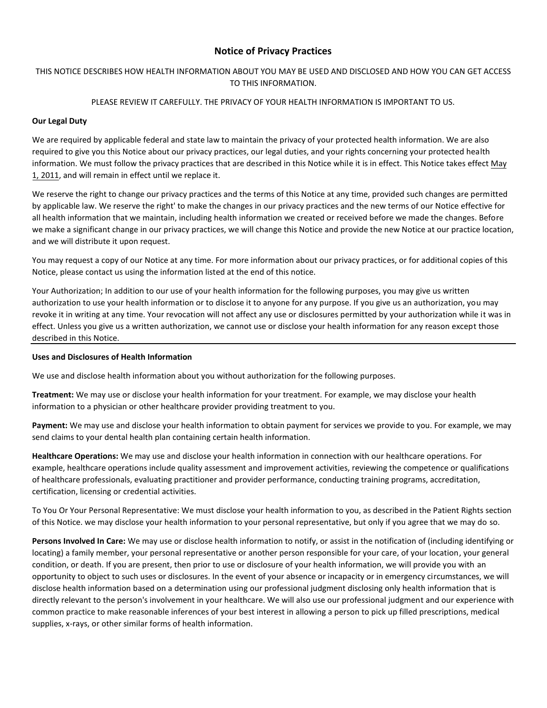#### **Notice of Privacy Practices**

#### THIS NOTICE DESCRIBES HOW HEALTH INFORMATION ABOUT YOU MAY BE USED AND DISCLOSED AND HOW YOU CAN GET ACCESS TO THIS INFORMATION.

#### PLEASE REVIEW IT CAREFULLY. THE PRIVACY OF YOUR HEALTH INFORMATION IS IMPORTANT TO US.

#### **Our Legal Duty**

We are required by applicable federal and state law to maintain the privacy of your protected health information. We are also required to give you this Notice about our privacy practices, our legal duties, and your rights concerning your protected health information. We must follow the privacy practices that are described in this Notice while it is in effect. This Notice takes effect May 1, 2011, and will remain in effect until we replace it.

We reserve the right to change our privacy practices and the terms of this Notice at any time, provided such changes are permitted by applicable law. We reserve the right' to make the changes in our privacy practices and the new terms of our Notice effective for all health information that we maintain, including health information we created or received before we made the changes. Before we make a significant change in our privacy practices, we will change this Notice and provide the new Notice at our practice location, and we will distribute it upon request.

You may request a copy of our Notice at any time. For more information about our privacy practices, or for additional copies of this Notice, please contact us using the information listed at the end of this notice.

Your Authorization; In addition to our use of your health information for the following purposes, you may give us written authorization to use your health information or to disclose it to anyone for any purpose. If you give us an authorization, you may revoke it in writing at any time. Your revocation will not affect any use or disclosures permitted by your authorization while it was in effect. Unless you give us a written authorization, we cannot use or disclose your health information for any reason except those described in this Notice.

#### **Uses and Disclosures of Health Information**

We use and disclose health information about you without authorization for the following purposes.

**Treatment:** We may use or disclose your health information for your treatment. For example, we may disclose your health information to a physician or other healthcare provider providing treatment to you.

**Payment:** We may use and disclose your health information to obtain payment for services we provide to you. For example, we may send claims to your dental health plan containing certain health information.

**Healthcare Operations:** We may use and disclose your health information in connection with our healthcare operations. For example, healthcare operations include quality assessment and improvement activities, reviewing the competence or qualifications of healthcare professionals, evaluating practitioner and provider performance, conducting training programs, accreditation, certification, licensing or credential activities.

To You Or Your Personal Representative: We must disclose your health information to you, as described in the Patient Rights section of this Notice. we may disclose your health information to your personal representative, but only if you agree that we may do so.

**Persons Involved In Care:** We may use or disclose health information to notify, or assist in the notification of (including identifying or locating) a family member, your personal representative or another person responsible for your care, of your location, your general condition, or death. If you are present, then prior to use or disclosure of your health information, we will provide you with an opportunity to object to such uses or disclosures. In the event of your absence or incapacity or in emergency circumstances, we will disclose health information based on a determination using our professional judgment disclosing only health information that is directly relevant to the person's involvement in your healthcare. We will also use our professional judgment and our experience with common practice to make reasonable inferences of your best interest in allowing a person to pick up filled prescriptions, medical supplies, x-rays, or other similar forms of health information.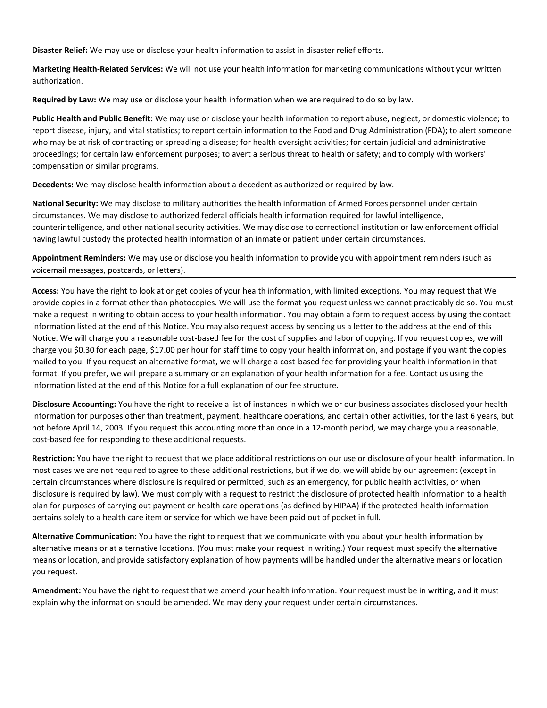**Disaster Relief:** We may use or disclose your health information to assist in disaster relief efforts.

**Marketing Health-Related Services:** We will not use your health information for marketing communications without your written authorization.

**Required by Law:** We may use or disclose your health information when we are required to do so by law.

**Public Health and Public Benefit:** We may use or disclose your health information to report abuse, neglect, or domestic violence; to report disease, injury, and vital statistics; to report certain information to the Food and Drug Administration (FDA); to alert someone who may be at risk of contracting or spreading a disease; for health oversight activities; for certain judicial and administrative proceedings; for certain law enforcement purposes; to avert a serious threat to health or safety; and to comply with workers' compensation or similar programs.

**Decedents:** We may disclose health information about a decedent as authorized or required by law.

**National Security:** We may disclose to military authorities the health information of Armed Forces personnel under certain circumstances. We may disclose to authorized federal officials health information required for lawful intelligence, counterintelligence, and other national security activities. We may disclose to correctional institution or law enforcement official having lawful custody the protected health information of an inmate or patient under certain circumstances.

**Appointment Reminders:** We may use or disclose you health information to provide you with appointment reminders (such as voicemail messages, postcards, or letters).

**Access:** You have the right to look at or get copies of your health information, with limited exceptions. You may request that We provide copies in a format other than photocopies. We will use the format you request unless we cannot practicably do so. You must make a request in writing to obtain access to your health information. You may obtain a form to request access by using the contact information listed at the end of this Notice. You may also request access by sending us a letter to the address at the end of this Notice. We will charge you a reasonable cost-based fee for the cost of supplies and labor of copying. If you request copies, we will charge you \$0.30 for each page, \$17.00 per hour for staff time to copy your health information, and postage if you want the copies mailed to you. If you request an alternative format, we will charge a cost-based fee for providing your health information in that format. If you prefer, we will prepare a summary or an explanation of your health information for a fee. Contact us using the information listed at the end of this Notice for a full explanation of our fee structure.

**Disclosure Accounting:** You have the right to receive a list of instances in which we or our business associates disclosed your health information for purposes other than treatment, payment, healthcare operations, and certain other activities, for the last 6 years, but not before April 14, 2003. If you request this accounting more than once in a 12-month period, we may charge you a reasonable, cost-based fee for responding to these additional requests.

**Restriction:** You have the right to request that we place additional restrictions on our use or disclosure of your health information. In most cases we are not required to agree to these additional restrictions, but if we do, we will abide by our agreement (except in certain circumstances where disclosure is required or permitted, such as an emergency, for public health activities, or when disclosure is required by law). We must comply with a request to restrict the disclosure of protected health information to a health plan for purposes of carrying out payment or health care operations (as defined by HIPAA) if the protected health information pertains solely to a health care item or service for which we have been paid out of pocket in full.

**Alternative Communication:** You have the right to request that we communicate with you about your health information by alternative means or at alternative locations. (You must make your request in writing.) Your request must specify the alternative means or location, and provide satisfactory explanation of how payments will be handled under the alternative means or location you request.

**Amendment:** You have the right to request that we amend your health information. Your request must be in writing, and it must explain why the information should be amended. We may deny your request under certain circumstances.